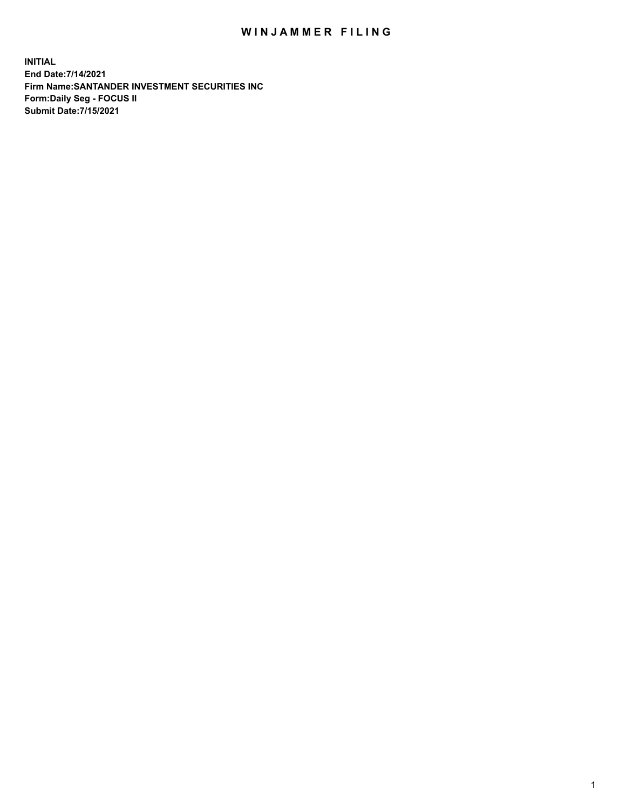## WIN JAMMER FILING

**INITIAL End Date:7/14/2021 Firm Name:SANTANDER INVESTMENT SECURITIES INC Form:Daily Seg - FOCUS II Submit Date:7/15/2021**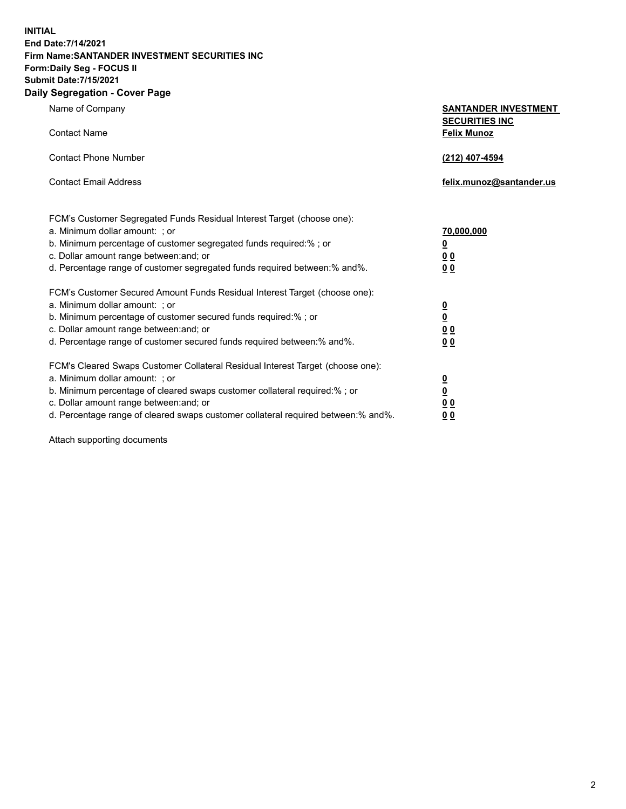**INITIAL End Date:7/14/2021 Firm Name:SANTANDER INVESTMENT SECURITIES INC Form:Daily Seg - FOCUS II Submit Date:7/15/2021 Daily Segregation - Cover Page**

| Name of Company                                                                   | <b>SANTANDER INVESTMENT</b><br><b>SECURITIES INC</b> |
|-----------------------------------------------------------------------------------|------------------------------------------------------|
| <b>Contact Name</b>                                                               | <b>Felix Munoz</b>                                   |
| <b>Contact Phone Number</b>                                                       | (212) 407-4594                                       |
| <b>Contact Email Address</b>                                                      | felix.munoz@santander.us                             |
| FCM's Customer Segregated Funds Residual Interest Target (choose one):            |                                                      |
| a. Minimum dollar amount: ; or                                                    | <u>70,000,000</u>                                    |
| b. Minimum percentage of customer segregated funds required:% ; or                | <u>0</u>                                             |
| c. Dollar amount range between: and; or                                           | 0 <sub>0</sub>                                       |
| d. Percentage range of customer segregated funds required between:% and%.         | 0 <sub>0</sub>                                       |
| FCM's Customer Secured Amount Funds Residual Interest Target (choose one):        |                                                      |
| a. Minimum dollar amount: ; or                                                    | $\frac{0}{0}$                                        |
| b. Minimum percentage of customer secured funds required:%; or                    |                                                      |
| c. Dollar amount range between: and; or                                           | 0 <sub>0</sub>                                       |
| d. Percentage range of customer secured funds required between:% and%.            | 0 <sub>0</sub>                                       |
| FCM's Cleared Swaps Customer Collateral Residual Interest Target (choose one):    |                                                      |
| a. Minimum dollar amount: ; or                                                    | $\overline{\mathbf{0}}$                              |
| b. Minimum percentage of cleared swaps customer collateral required:% ; or        | $\underline{\mathbf{0}}$                             |
| c. Dollar amount range between: and; or                                           | 00                                                   |
| d. Percentage range of cleared swaps customer collateral required between:% and%. | <u>00</u>                                            |

Attach supporting documents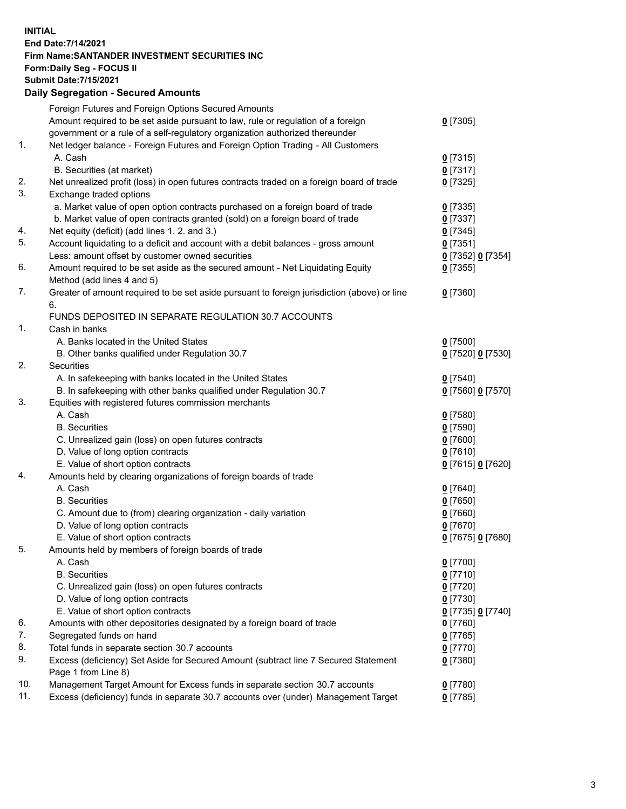**INITIAL End Date:7/14/2021 Firm Name:SANTANDER INVESTMENT SECURITIES INC Form:Daily Seg - FOCUS II Submit Date:7/15/2021 Daily Segregation - Secured Amounts**

|     | Foreign Futures and Foreign Options Secured Amounts                                         |                   |
|-----|---------------------------------------------------------------------------------------------|-------------------|
|     | Amount required to be set aside pursuant to law, rule or regulation of a foreign            | $0$ [7305]        |
|     | government or a rule of a self-regulatory organization authorized thereunder                |                   |
| 1.  | Net ledger balance - Foreign Futures and Foreign Option Trading - All Customers             |                   |
|     | A. Cash                                                                                     | $0$ [7315]        |
|     | B. Securities (at market)                                                                   | $0$ [7317]        |
| 2.  | Net unrealized profit (loss) in open futures contracts traded on a foreign board of trade   | $0$ [7325]        |
| 3.  | Exchange traded options                                                                     |                   |
|     | a. Market value of open option contracts purchased on a foreign board of trade              | $0$ [7335]        |
|     | b. Market value of open contracts granted (sold) on a foreign board of trade                | $0$ [7337]        |
| 4.  | Net equity (deficit) (add lines 1. 2. and 3.)                                               | $0$ [7345]        |
| 5.  | Account liquidating to a deficit and account with a debit balances - gross amount           | $0$ [7351]        |
|     | Less: amount offset by customer owned securities                                            | 0 [7352] 0 [7354] |
| 6.  | Amount required to be set aside as the secured amount - Net Liquidating Equity              | $0$ [7355]        |
|     | Method (add lines 4 and 5)                                                                  |                   |
| 7.  | Greater of amount required to be set aside pursuant to foreign jurisdiction (above) or line | $0$ [7360]        |
|     | 6.                                                                                          |                   |
|     | FUNDS DEPOSITED IN SEPARATE REGULATION 30.7 ACCOUNTS                                        |                   |
| 1.  | Cash in banks                                                                               |                   |
|     | A. Banks located in the United States                                                       | $0$ [7500]        |
|     | B. Other banks qualified under Regulation 30.7                                              | 0 [7520] 0 [7530] |
| 2.  | <b>Securities</b>                                                                           |                   |
|     | A. In safekeeping with banks located in the United States                                   | $0$ [7540]        |
|     | B. In safekeeping with other banks qualified under Regulation 30.7                          | 0 [7560] 0 [7570] |
| 3.  | Equities with registered futures commission merchants                                       |                   |
|     | A. Cash                                                                                     | $0$ [7580]        |
|     | <b>B.</b> Securities                                                                        | $0$ [7590]        |
|     | C. Unrealized gain (loss) on open futures contracts                                         | $0$ [7600]        |
|     | D. Value of long option contracts                                                           | $0$ [7610]        |
|     | E. Value of short option contracts                                                          | 0 [7615] 0 [7620] |
| 4.  | Amounts held by clearing organizations of foreign boards of trade                           |                   |
|     | A. Cash                                                                                     | $0$ [7640]        |
|     | <b>B.</b> Securities                                                                        | $0$ [7650]        |
|     | C. Amount due to (from) clearing organization - daily variation                             | $0$ [7660]        |
|     | D. Value of long option contracts                                                           | $0$ [7670]        |
|     | E. Value of short option contracts                                                          | 0 [7675] 0 [7680] |
| 5.  | Amounts held by members of foreign boards of trade                                          |                   |
|     | A. Cash                                                                                     | 0 [7700]          |
|     | <b>B.</b> Securities                                                                        | $0$ [7710]        |
|     | C. Unrealized gain (loss) on open futures contracts                                         | $0$ [7720]        |
|     | D. Value of long option contracts                                                           | $0$ [7730]        |
|     | E. Value of short option contracts                                                          | 0 [7735] 0 [7740] |
| 6.  | Amounts with other depositories designated by a foreign board of trade                      | $0$ [7760]        |
| 7.  | Segregated funds on hand                                                                    | $0$ [7765]        |
| 8.  | Total funds in separate section 30.7 accounts                                               | $0$ [7770]        |
| 9.  | Excess (deficiency) Set Aside for Secured Amount (subtract line 7 Secured Statement         | $0$ [7380]        |
|     | Page 1 from Line 8)                                                                         |                   |
| 10. | Management Target Amount for Excess funds in separate section 30.7 accounts                 | $0$ [7780]        |
| 11. | Excess (deficiency) funds in separate 30.7 accounts over (under) Management Target          | $0$ [7785]        |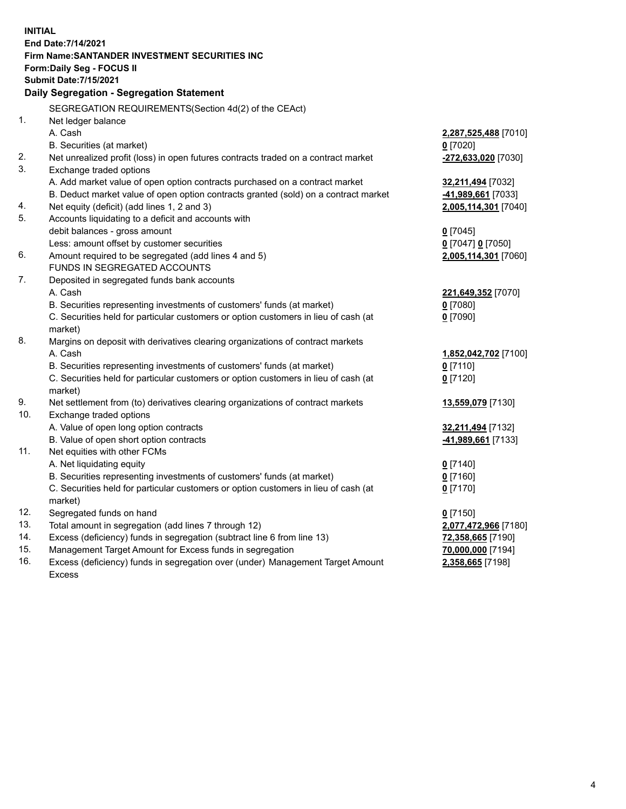| <b>INITIAL</b> |                                                                                           |                      |
|----------------|-------------------------------------------------------------------------------------------|----------------------|
|                | End Date: 7/14/2021                                                                       |                      |
|                | Firm Name: SANTANDER INVESTMENT SECURITIES INC                                            |                      |
|                | Form: Daily Seg - FOCUS II                                                                |                      |
|                | <b>Submit Date: 7/15/2021</b>                                                             |                      |
|                | Daily Segregation - Segregation Statement                                                 |                      |
|                | SEGREGATION REQUIREMENTS(Section 4d(2) of the CEAct)                                      |                      |
| 1.             | Net ledger balance                                                                        |                      |
|                | A. Cash                                                                                   | 2,287,525,488 [7010] |
|                | B. Securities (at market)                                                                 | $0$ [7020]           |
| 2.             | Net unrealized profit (loss) in open futures contracts traded on a contract market        | -272,633,020 [7030]  |
| 3.             | Exchange traded options                                                                   |                      |
|                | A. Add market value of open option contracts purchased on a contract market               | 32,211,494 [7032]    |
|                | B. Deduct market value of open option contracts granted (sold) on a contract market       | -41,989,661 [7033]   |
| 4.             | Net equity (deficit) (add lines 1, 2 and 3)                                               | 2,005,114,301 [7040] |
| 5.             | Accounts liquidating to a deficit and accounts with                                       |                      |
|                | debit balances - gross amount                                                             | $0$ [7045]           |
|                | Less: amount offset by customer securities                                                | 0 [7047] 0 [7050]    |
| 6.             | Amount required to be segregated (add lines 4 and 5)                                      | 2,005,114,301 [7060] |
|                | FUNDS IN SEGREGATED ACCOUNTS                                                              |                      |
| 7.             | Deposited in segregated funds bank accounts                                               |                      |
|                | A. Cash                                                                                   | 221,649,352 [7070]   |
|                | B. Securities representing investments of customers' funds (at market)                    | $0$ [7080]           |
|                | C. Securities held for particular customers or option customers in lieu of cash (at       | $0$ [7090]           |
| 8.             | market)<br>Margins on deposit with derivatives clearing organizations of contract markets |                      |
|                | A. Cash                                                                                   | 1,852,042,702 [7100] |
|                | B. Securities representing investments of customers' funds (at market)                    | $0$ [7110]           |
|                | C. Securities held for particular customers or option customers in lieu of cash (at       | $0$ [7120]           |
|                | market)                                                                                   |                      |
| 9.             | Net settlement from (to) derivatives clearing organizations of contract markets           | 13,559,079 [7130]    |
| 10.            | Exchange traded options                                                                   |                      |
|                | A. Value of open long option contracts                                                    | 32,211,494 [7132]    |
|                | B. Value of open short option contracts                                                   | -41,989,661 [7133]   |
| 11.            | Net equities with other FCMs                                                              |                      |
|                | A. Net liquidating equity                                                                 | $0$ [7140]           |
|                | B. Securities representing investments of customers' funds (at market)                    | $0$ [7160]           |
|                | C. Securities held for particular customers or option customers in lieu of cash (at       | $0$ [7170]           |
|                | market)                                                                                   |                      |
| 12.            | Segregated funds on hand                                                                  | $0$ [7150]           |
| 13.            | Total amount in segregation (add lines 7 through 12)                                      | 2,077,472,966 [7180] |
| 14.            | Excess (deficiency) funds in segregation (subtract line 6 from line 13)                   | 72,358,665 [7190]    |
| 15.            | Management Target Amount for Excess funds in segregation                                  | 70,000,000 [7194]    |
| 16.            | Excess (deficiency) funds in segregation over (under) Management Target Amount            | 2,358,665 [7198]     |
|                | Excess                                                                                    |                      |